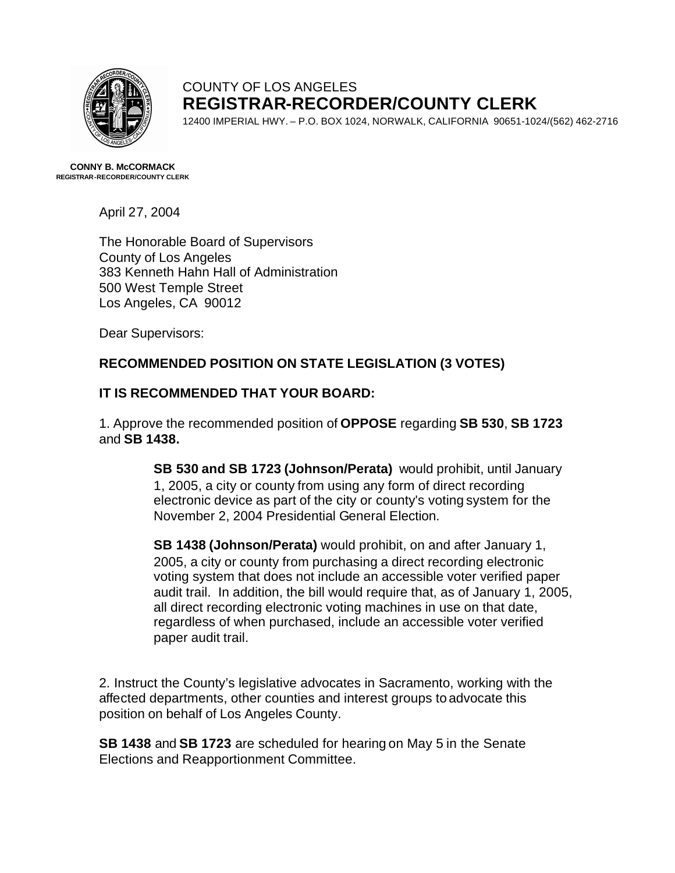

## COUNTY OF LOS ANGELES **REGISTRAR-RECORDER/COUNTY CLERK**

12400 IMPERIAL HWY. – P.O. BOX 1024, NORWALK, CALIFORNIA 90651-1024/(562) 462-2716

**CONNY B. McCORMACK REGISTRAR-RECORDER/COUNTY CLERK**

April 27, 2004

The Honorable Board of Supervisors County of Los Angeles 383 Kenneth Hahn Hall of Administration 500 West Temple Street Los Angeles, CA 90012

Dear Supervisors:

## **RECOMMENDED POSITION ON STATE LEGISLATION (3 VOTES)**

## **IT IS RECOMMENDED THAT YOUR BOARD:**

1. Approve the recommended position of **OPPOSE** regarding **SB 530**, **SB 1723** and **SB 1438.**

> **SB 530 and SB 1723 (Johnson/Perata)** would prohibit, until January 1, 2005, a city or county from using any form of direct recording electronic device as part of the city or county's voting system for the November 2, 2004 Presidential General Election.

**SB 1438 (Johnson/Perata)** would prohibit, on and after January 1, 2005, a city or county from purchasing a direct recording electronic voting system that does not include an accessible voter verified paper audit trail. In addition, the bill would require that, as of January 1, 2005, all direct recording electronic voting machines in use on that date, regardless of when purchased, include an accessible voter verified paper audit trail.

2. Instruct the County's legislative advocates in Sacramento, working with the affected departments, other counties and interest groups to advocate this position on behalf of Los Angeles County.

**SB 1438** and **SB 1723** are scheduled for hearing on May 5 in the Senate Elections and Reapportionment Committee.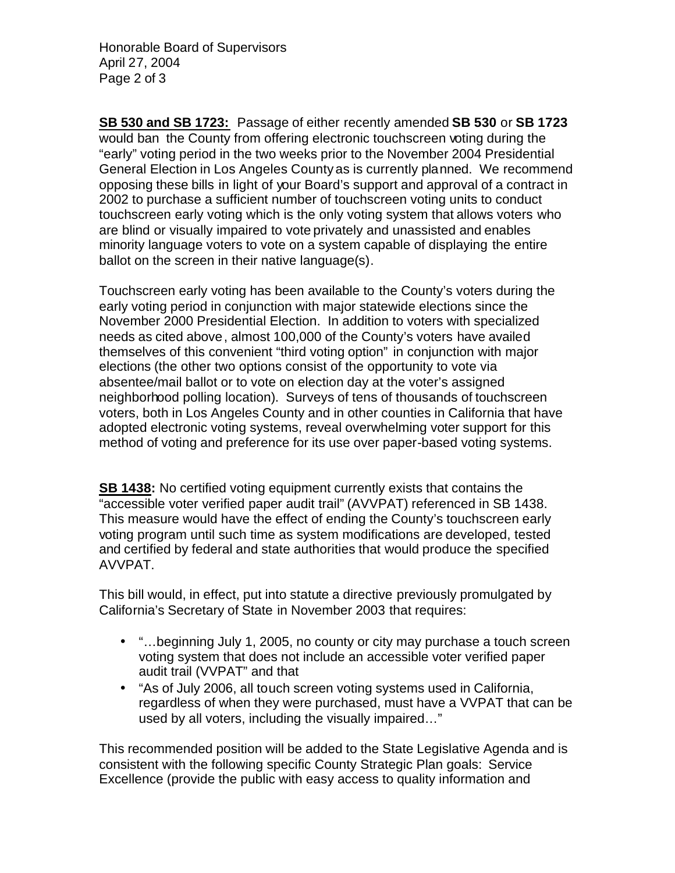Honorable Board of Supervisors April 27, 2004 Page 2 of 3

**SB 530 and SB 1723:** Passage of either recently amended **SB 530** or **SB 1723** would ban the County from offering electronic touchscreen voting during the "early" voting period in the two weeks prior to the November 2004 Presidential General Election in Los Angeles County as is currently planned. We recommend opposing these bills in light of your Board's support and approval of a contract in 2002 to purchase a sufficient number of touchscreen voting units to conduct touchscreen early voting which is the only voting system that allows voters who are blind or visually impaired to vote privately and unassisted and enables minority language voters to vote on a system capable of displaying the entire ballot on the screen in their native language(s).

Touchscreen early voting has been available to the County's voters during the early voting period in conjunction with major statewide elections since the November 2000 Presidential Election. In addition to voters with specialized needs as cited above, almost 100,000 of the County's voters have availed themselves of this convenient "third voting option" in conjunction with major elections (the other two options consist of the opportunity to vote via absentee/mail ballot or to vote on election day at the voter's assigned neighborhood polling location). Surveys of tens of thousands of touchscreen voters, both in Los Angeles County and in other counties in California that have adopted electronic voting systems, reveal overwhelming voter support for this method of voting and preference for its use over paper-based voting systems.

**SB 1438:** No certified voting equipment currently exists that contains the "accessible voter verified paper audit trail" (AVVPAT) referenced in SB 1438. This measure would have the effect of ending the County's touchscreen early voting program until such time as system modifications are developed, tested and certified by federal and state authorities that would produce the specified AVVPAT.

This bill would, in effect, put into statute a directive previously promulgated by California's Secretary of State in November 2003 that requires:

- "...beginning July 1, 2005, no county or city may purchase a touch screen voting system that does not include an accessible voter verified paper audit trail (VVPAT" and that
- "As of July 2006, all touch screen voting systems used in California, regardless of when they were purchased, must have a VVPAT that can be used by all voters, including the visually impaired…"

This recommended position will be added to the State Legislative Agenda and is consistent with the following specific County Strategic Plan goals: Service Excellence (provide the public with easy access to quality information and